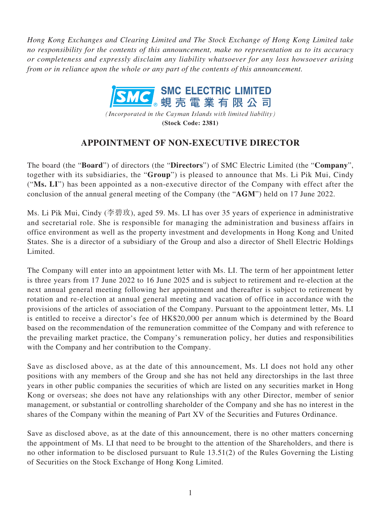*Hong Kong Exchanges and Clearing Limited and The Stock Exchange of Hong Kong Limited take no responsibility for the contents of this announcement, make no representation as to its accuracy or completeness and expressly disclaim any liability whatsoever for any loss howsoever arising from or in reliance upon the whole or any part of the contents of this announcement.*



*(Incorporated in the Cayman Islands with limited liability)* **(Stock Code: 2381)**

## **APPOINTMENT OF NON-EXECUTIVE DIRECTOR**

The board (the "**Board**") of directors (the "**Directors**") of SMC Electric Limited (the "**Company**", together with its subsidiaries, the "**Group**") is pleased to announce that Ms. Li Pik Mui, Cindy ("**Ms. LI**") has been appointed as a non-executive director of the Company with effect after the conclusion of the annual general meeting of the Company (the "**AGM**") held on 17 June 2022.

Ms. Li Pik Mui, Cindy (李碧玫), aged 59. Ms. LI has over 35 years of experience in administrative and secretarial role. She is responsible for managing the administration and business affairs in office environment as well as the property investment and developments in Hong Kong and United States. She is a director of a subsidiary of the Group and also a director of Shell Electric Holdings Limited.

The Company will enter into an appointment letter with Ms. LI. The term of her appointment letter is three years from 17 June 2022 to 16 June 2025 and is subject to retirement and re-election at the next annual general meeting following her appointment and thereafter is subject to retirement by rotation and re-election at annual general meeting and vacation of office in accordance with the provisions of the articles of association of the Company. Pursuant to the appointment letter, Ms. LI is entitled to receive a director's fee of HK\$20,000 per annum which is determined by the Board based on the recommendation of the remuneration committee of the Company and with reference to the prevailing market practice, the Company's remuneration policy, her duties and responsibilities with the Company and her contribution to the Company.

Save as disclosed above, as at the date of this announcement, Ms. LI does not hold any other positions with any members of the Group and she has not held any directorships in the last three years in other public companies the securities of which are listed on any securities market in Hong Kong or overseas; she does not have any relationships with any other Director, member of senior management, or substantial or controlling shareholder of the Company and she has no interest in the shares of the Company within the meaning of Part XV of the Securities and Futures Ordinance.

Save as disclosed above, as at the date of this announcement, there is no other matters concerning the appointment of Ms. LI that need to be brought to the attention of the Shareholders, and there is no other information to be disclosed pursuant to Rule 13.51(2) of the Rules Governing the Listing of Securities on the Stock Exchange of Hong Kong Limited.